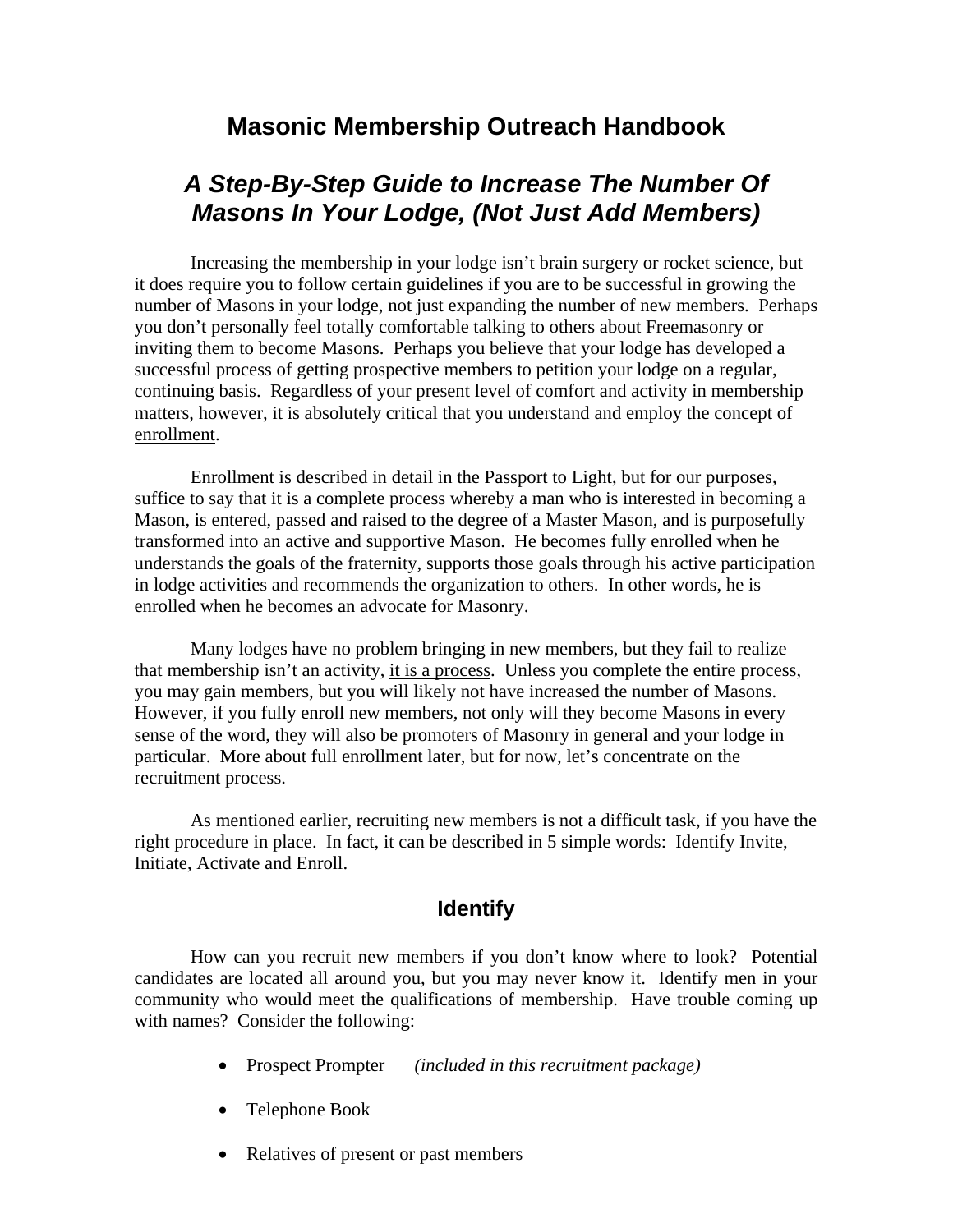## **Masonic Membership Outreach Handbook**

# *A Step-By-Step Guide to Increase The Number Of Masons In Your Lodge, (Not Just Add Members)*

 Increasing the membership in your lodge isn't brain surgery or rocket science, but it does require you to follow certain guidelines if you are to be successful in growing the number of Masons in your lodge, not just expanding the number of new members. Perhaps you don't personally feel totally comfortable talking to others about Freemasonry or inviting them to become Masons. Perhaps you believe that your lodge has developed a successful process of getting prospective members to petition your lodge on a regular, continuing basis. Regardless of your present level of comfort and activity in membership matters, however, it is absolutely critical that you understand and employ the concept of enrollment.

 Enrollment is described in detail in the Passport to Light, but for our purposes, suffice to say that it is a complete process whereby a man who is interested in becoming a Mason, is entered, passed and raised to the degree of a Master Mason, and is purposefully transformed into an active and supportive Mason. He becomes fully enrolled when he understands the goals of the fraternity, supports those goals through his active participation in lodge activities and recommends the organization to others. In other words, he is enrolled when he becomes an advocate for Masonry.

 Many lodges have no problem bringing in new members, but they fail to realize that membership isn't an activity, it is a process. Unless you complete the entire process, you may gain members, but you will likely not have increased the number of Masons. However, if you fully enroll new members, not only will they become Masons in every sense of the word, they will also be promoters of Masonry in general and your lodge in particular. More about full enrollment later, but for now, let's concentrate on the recruitment process.

 As mentioned earlier, recruiting new members is not a difficult task, if you have the right procedure in place. In fact, it can be described in 5 simple words: Identify Invite, Initiate, Activate and Enroll.

### **Identify**

 How can you recruit new members if you don't know where to look? Potential candidates are located all around you, but you may never know it. Identify men in your community who would meet the qualifications of membership. Have trouble coming up with names? Consider the following:

- Prospect Prompter *(included in this recruitment package)*
- Telephone Book
- Relatives of present or past members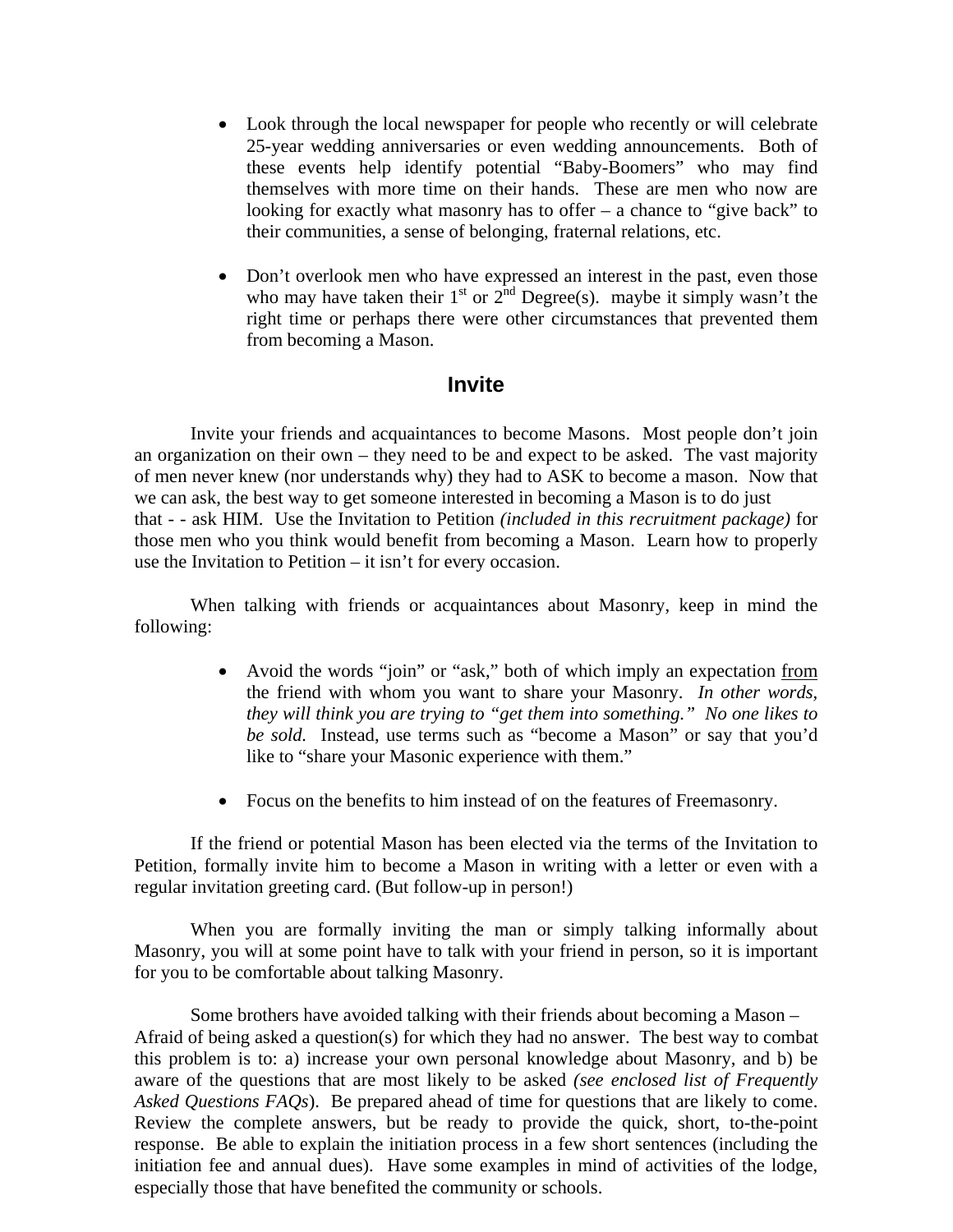- Look through the local newspaper for people who recently or will celebrate 25-year wedding anniversaries or even wedding announcements. Both of these events help identify potential "Baby-Boomers" who may find themselves with more time on their hands. These are men who now are looking for exactly what masonry has to offer – a chance to "give back" to their communities, a sense of belonging, fraternal relations, etc.
- Don't overlook men who have expressed an interest in the past, even those who may have taken their  $1<sup>st</sup>$  or  $2<sup>nd</sup>$  Degree(s). maybe it simply wasn't the right time or perhaps there were other circumstances that prevented them from becoming a Mason.

### **Invite**

 Invite your friends and acquaintances to become Masons. Most people don't join an organization on their own – they need to be and expect to be asked. The vast majority of men never knew (nor understands why) they had to ASK to become a mason. Now that we can ask, the best way to get someone interested in becoming a Mason is to do just that - - ask HIM. Use the Invitation to Petition *(included in this recruitment package)* for those men who you think would benefit from becoming a Mason. Learn how to properly use the Invitation to Petition – it isn't for every occasion.

 When talking with friends or acquaintances about Masonry, keep in mind the following:

- Avoid the words "join" or "ask," both of which imply an expectation from the friend with whom you want to share your Masonry. *In other words, they will think you are trying to "get them into something." No one likes to be sold.* Instead, use terms such as "become a Mason" or say that you'd like to "share your Masonic experience with them."
- Focus on the benefits to him instead of on the features of Freemasonry.

 If the friend or potential Mason has been elected via the terms of the Invitation to Petition, formally invite him to become a Mason in writing with a letter or even with a regular invitation greeting card. (But follow-up in person!)

 When you are formally inviting the man or simply talking informally about Masonry, you will at some point have to talk with your friend in person, so it is important for you to be comfortable about talking Masonry.

 Some brothers have avoided talking with their friends about becoming a Mason – Afraid of being asked a question(s) for which they had no answer. The best way to combat this problem is to: a) increase your own personal knowledge about Masonry, and b) be aware of the questions that are most likely to be asked *(see enclosed list of Frequently Asked Questions FAQs*). Be prepared ahead of time for questions that are likely to come. Review the complete answers, but be ready to provide the quick, short, to-the-point response. Be able to explain the initiation process in a few short sentences (including the initiation fee and annual dues). Have some examples in mind of activities of the lodge, especially those that have benefited the community or schools.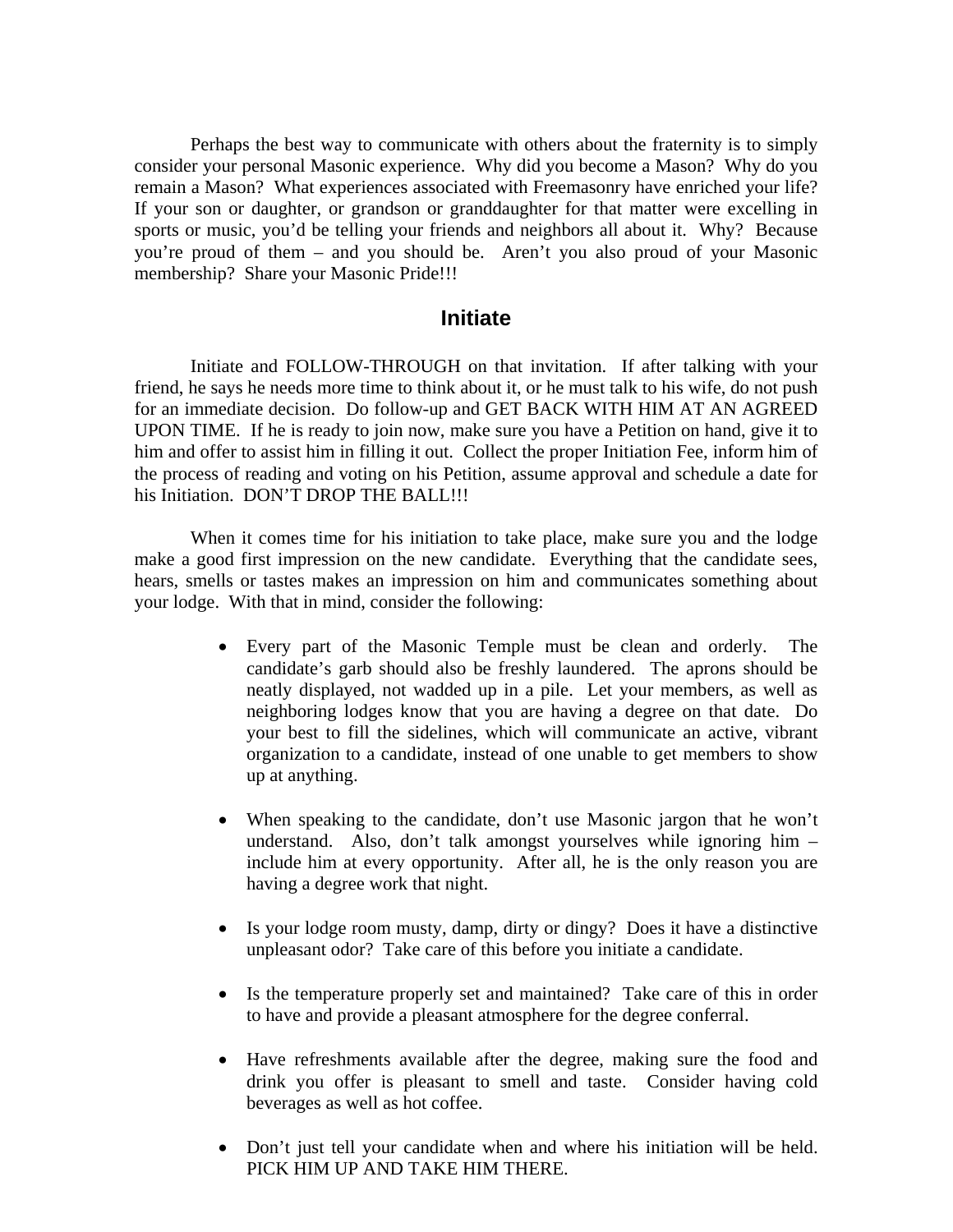Perhaps the best way to communicate with others about the fraternity is to simply consider your personal Masonic experience. Why did you become a Mason? Why do you remain a Mason? What experiences associated with Freemasonry have enriched your life? If your son or daughter, or grandson or granddaughter for that matter were excelling in sports or music, you'd be telling your friends and neighbors all about it. Why? Because you're proud of them – and you should be. Aren't you also proud of your Masonic membership? Share your Masonic Pride!!!

### **Initiate**

 Initiate and FOLLOW-THROUGH on that invitation. If after talking with your friend, he says he needs more time to think about it, or he must talk to his wife, do not push for an immediate decision. Do follow-up and GET BACK WITH HIM AT AN AGREED UPON TIME. If he is ready to join now, make sure you have a Petition on hand, give it to him and offer to assist him in filling it out. Collect the proper Initiation Fee, inform him of the process of reading and voting on his Petition, assume approval and schedule a date for his Initiation. DON'T DROP THE BALL!!!

 When it comes time for his initiation to take place, make sure you and the lodge make a good first impression on the new candidate. Everything that the candidate sees, hears, smells or tastes makes an impression on him and communicates something about your lodge. With that in mind, consider the following:

- Every part of the Masonic Temple must be clean and orderly. The candidate's garb should also be freshly laundered. The aprons should be neatly displayed, not wadded up in a pile. Let your members, as well as neighboring lodges know that you are having a degree on that date. Do your best to fill the sidelines, which will communicate an active, vibrant organization to a candidate, instead of one unable to get members to show up at anything.
- When speaking to the candidate, don't use Masonic jargon that he won't understand. Also, don't talk amongst yourselves while ignoring him – include him at every opportunity. After all, he is the only reason you are having a degree work that night.
- Is your lodge room musty, damp, dirty or dingy? Does it have a distinctive unpleasant odor? Take care of this before you initiate a candidate.
- Is the temperature properly set and maintained? Take care of this in order to have and provide a pleasant atmosphere for the degree conferral.
- Have refreshments available after the degree, making sure the food and drink you offer is pleasant to smell and taste. Consider having cold beverages as well as hot coffee.
- Don't just tell your candidate when and where his initiation will be held. PICK HIM UP AND TAKE HIM THERE.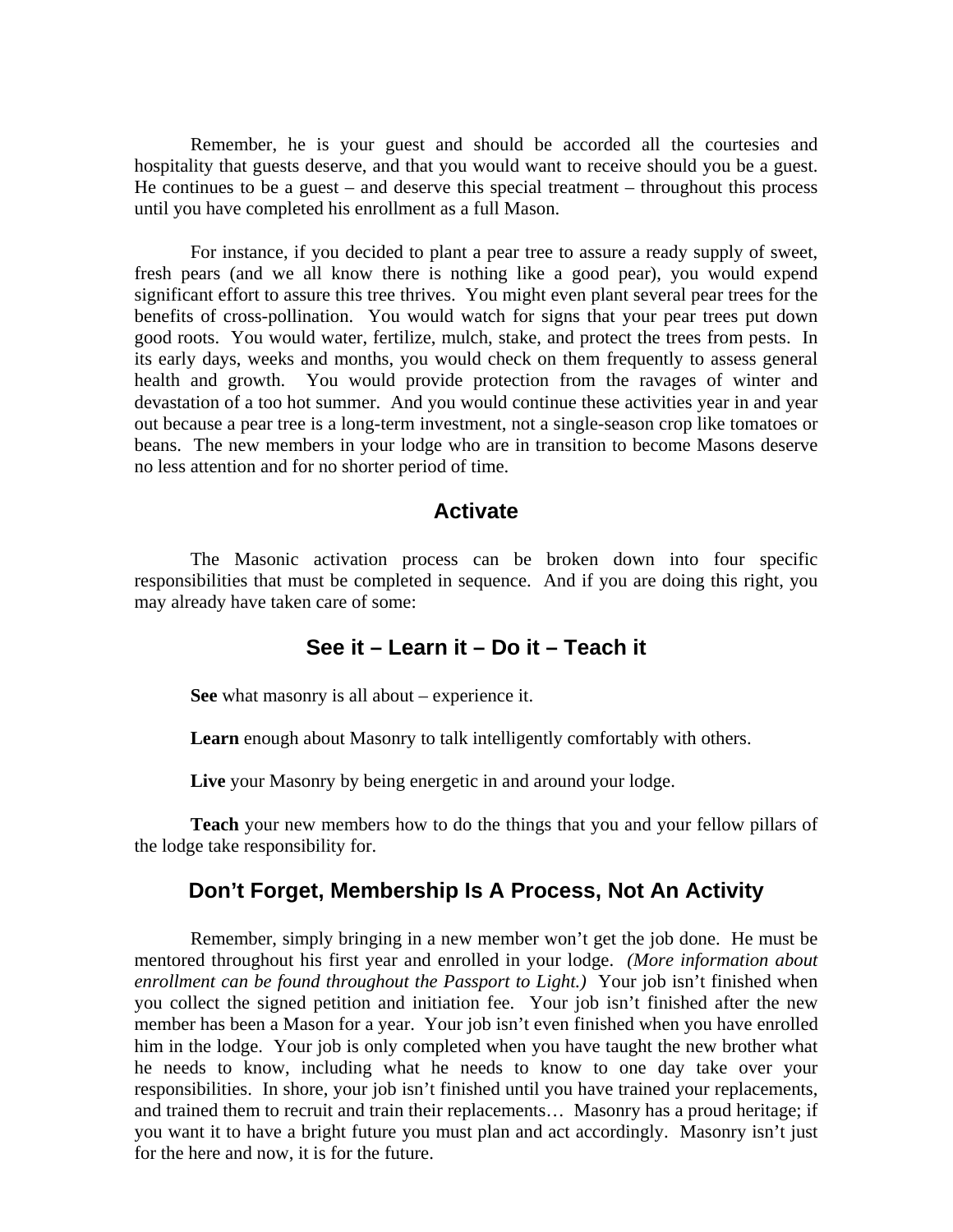Remember, he is your guest and should be accorded all the courtesies and hospitality that guests deserve, and that you would want to receive should you be a guest. He continues to be a guest – and deserve this special treatment – throughout this process until you have completed his enrollment as a full Mason.

 For instance, if you decided to plant a pear tree to assure a ready supply of sweet, fresh pears (and we all know there is nothing like a good pear), you would expend significant effort to assure this tree thrives. You might even plant several pear trees for the benefits of cross-pollination. You would watch for signs that your pear trees put down good roots. You would water, fertilize, mulch, stake, and protect the trees from pests. In its early days, weeks and months, you would check on them frequently to assess general health and growth. You would provide protection from the ravages of winter and devastation of a too hot summer. And you would continue these activities year in and year out because a pear tree is a long-term investment, not a single-season crop like tomatoes or beans. The new members in your lodge who are in transition to become Masons deserve no less attention and for no shorter period of time.

#### **Activate**

 The Masonic activation process can be broken down into four specific responsibilities that must be completed in sequence. And if you are doing this right, you may already have taken care of some:

### **See it – Learn it – Do it – Teach it**

 **See** what masonry is all about – experience it.

Learn enough about Masonry to talk intelligently comfortably with others.

**Live** your Masonry by being energetic in and around your lodge.

**Teach** your new members how to do the things that you and your fellow pillars of the lodge take responsibility for.

### **Don't Forget, Membership Is A Process, Not An Activity**

 Remember, simply bringing in a new member won't get the job done. He must be mentored throughout his first year and enrolled in your lodge. *(More information about enrollment can be found throughout the Passport to Light.*) Your job isn't finished when you collect the signed petition and initiation fee. Your job isn't finished after the new member has been a Mason for a year. Your job isn't even finished when you have enrolled him in the lodge. Your job is only completed when you have taught the new brother what he needs to know, including what he needs to know to one day take over your responsibilities. In shore, your job isn't finished until you have trained your replacements, and trained them to recruit and train their replacements… Masonry has a proud heritage; if you want it to have a bright future you must plan and act accordingly. Masonry isn't just for the here and now, it is for the future.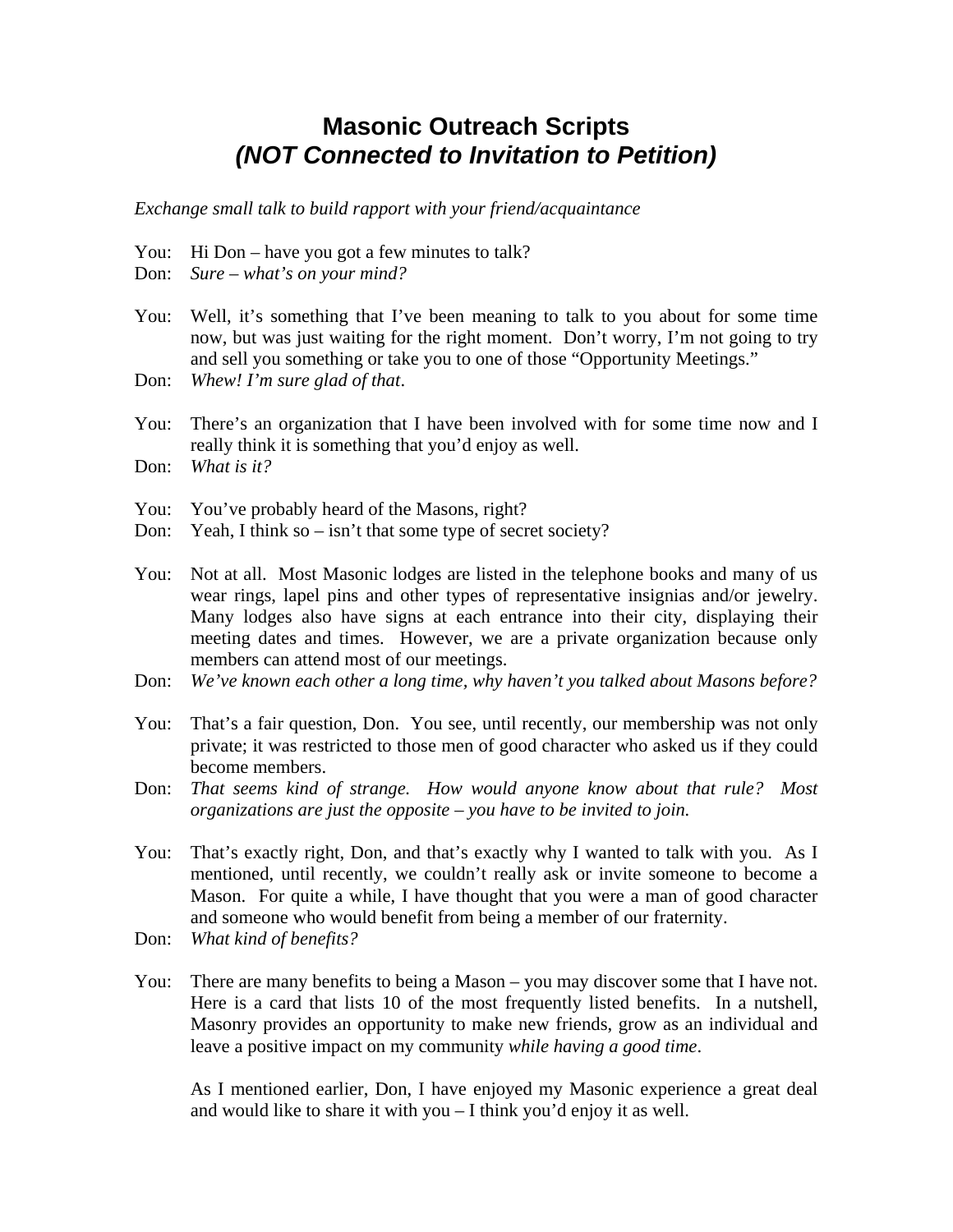## **Masonic Outreach Scripts**  *(NOT Connected to Invitation to Petition)*

*Exchange small talk to build rapport with your friend/acquaintance* 

- You: Hi Don have you got a few minutes to talk?
- Don: *Sure what's on your mind?*
- You: Well, it's something that I've been meaning to talk to you about for some time now, but was just waiting for the right moment. Don't worry, I'm not going to try and sell you something or take you to one of those "Opportunity Meetings."
- Don: *Whew! I'm sure glad of that*.
- You: There's an organization that I have been involved with for some time now and I really think it is something that you'd enjoy as well.
- Don: *What is it?*
- You: You've probably heard of the Masons, right?
- Don: Yeah, I think so isn't that some type of secret society?
- You: Not at all. Most Masonic lodges are listed in the telephone books and many of us wear rings, lapel pins and other types of representative insignias and/or jewelry. Many lodges also have signs at each entrance into their city, displaying their meeting dates and times. However, we are a private organization because only members can attend most of our meetings.
- Don: *We've known each other a long time, why haven't you talked about Masons before?*
- You: That's a fair question, Don. You see, until recently, our membership was not only private; it was restricted to those men of good character who asked us if they could become members.
- Don: *That seems kind of strange. How would anyone know about that rule? Most organizations are just the opposite – you have to be invited to join.*
- You: That's exactly right, Don, and that's exactly why I wanted to talk with you. As I mentioned, until recently, we couldn't really ask or invite someone to become a Mason. For quite a while, I have thought that you were a man of good character and someone who would benefit from being a member of our fraternity.
- Don: *What kind of benefits?*
- You: There are many benefits to being a Mason you may discover some that I have not. Here is a card that lists 10 of the most frequently listed benefits. In a nutshell, Masonry provides an opportunity to make new friends, grow as an individual and leave a positive impact on my community *while having a good time*.

 As I mentioned earlier, Don, I have enjoyed my Masonic experience a great deal and would like to share it with you – I think you'd enjoy it as well.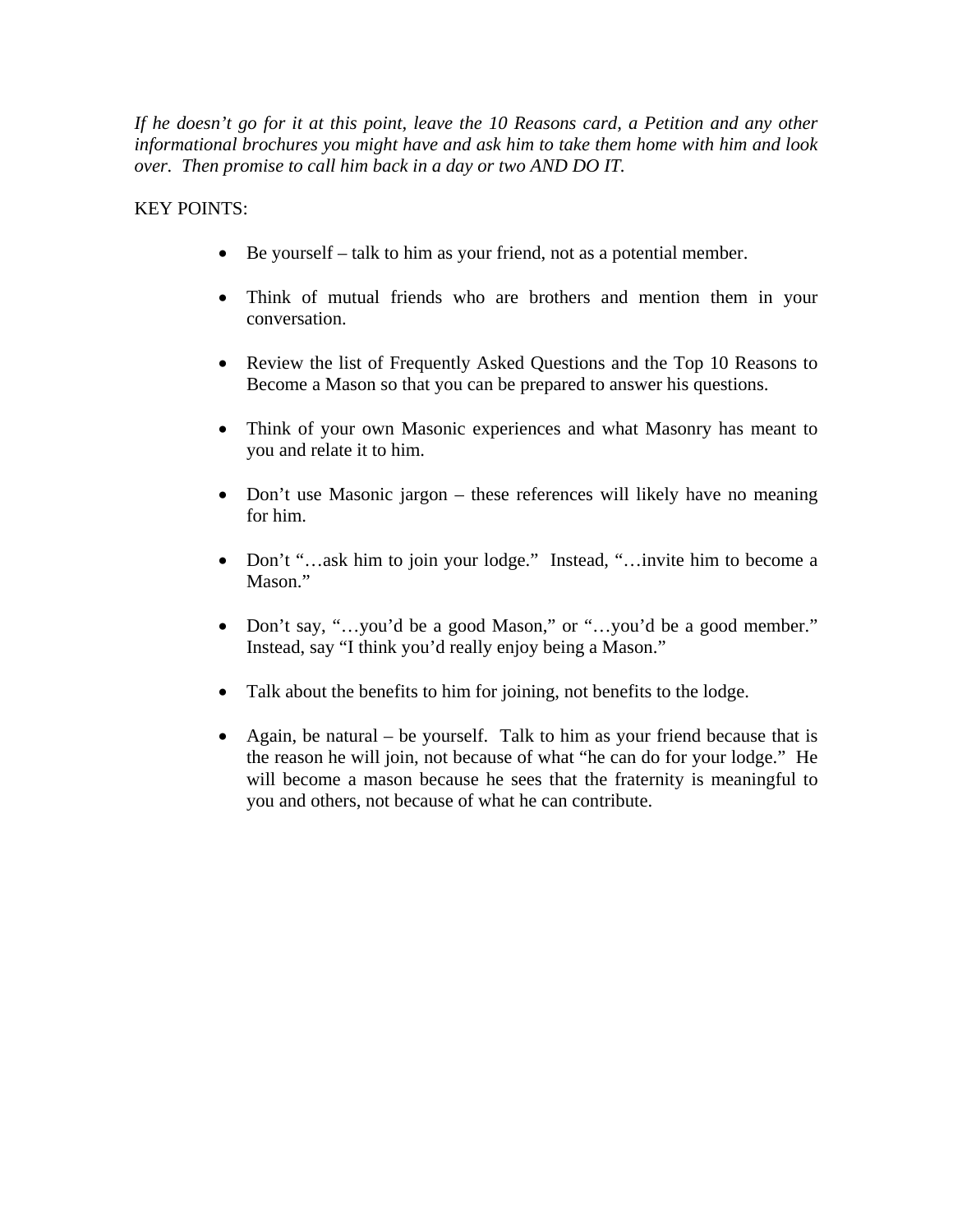*If he doesn't go for it at this point, leave the 10 Reasons card, a Petition and any other informational brochures you might have and ask him to take them home with him and look over. Then promise to call him back in a day or two AND DO IT.* 

KEY POINTS:

- Be yourself talk to him as your friend, not as a potential member.
- Think of mutual friends who are brothers and mention them in your conversation.
- Review the list of Frequently Asked Questions and the Top 10 Reasons to Become a Mason so that you can be prepared to answer his questions.
- Think of your own Masonic experiences and what Masonry has meant to you and relate it to him.
- Don't use Masonic jargon these references will likely have no meaning for him.
- Don't "…ask him to join your lodge." Instead, "…invite him to become a Mason."
- Don't say, "...you'd be a good Mason," or "...you'd be a good member." Instead, say "I think you'd really enjoy being a Mason."
- Talk about the benefits to him for joining, not benefits to the lodge.
- Again, be natural be yourself. Talk to him as your friend because that is the reason he will join, not because of what "he can do for your lodge." He will become a mason because he sees that the fraternity is meaningful to you and others, not because of what he can contribute.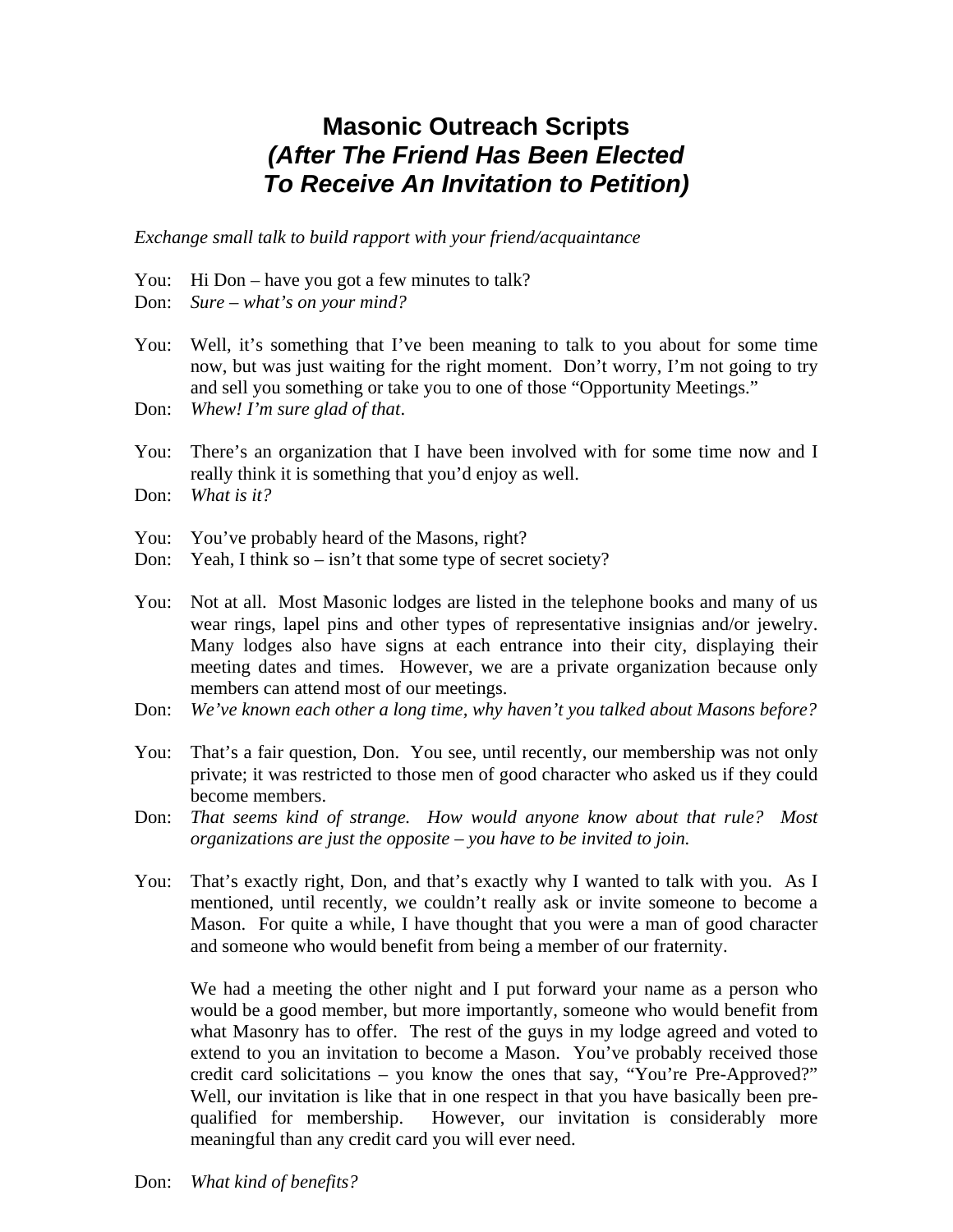# **Masonic Outreach Scripts**  *(After The Friend Has Been Elected To Receive An Invitation to Petition)*

*Exchange small talk to build rapport with your friend/acquaintance* 

- You: Hi Don have you got a few minutes to talk?
- Don: *Sure what's on your mind?*
- You: Well, it's something that I've been meaning to talk to you about for some time now, but was just waiting for the right moment. Don't worry, I'm not going to try and sell you something or take you to one of those "Opportunity Meetings."
- Don: *Whew! I'm sure glad of that*.
- You: There's an organization that I have been involved with for some time now and I really think it is something that you'd enjoy as well.
- Don: *What is it?*
- You: You've probably heard of the Masons, right?
- Don: Yeah, I think so isn't that some type of secret society?
- You: Not at all. Most Masonic lodges are listed in the telephone books and many of us wear rings, lapel pins and other types of representative insignias and/or jewelry. Many lodges also have signs at each entrance into their city, displaying their meeting dates and times. However, we are a private organization because only members can attend most of our meetings.
- Don: *We've known each other a long time, why haven't you talked about Masons before?*
- You: That's a fair question, Don. You see, until recently, our membership was not only private; it was restricted to those men of good character who asked us if they could become members.
- Don: *That seems kind of strange. How would anyone know about that rule? Most organizations are just the opposite – you have to be invited to join.*
- You: That's exactly right, Don, and that's exactly why I wanted to talk with you. As I mentioned, until recently, we couldn't really ask or invite someone to become a Mason. For quite a while, I have thought that you were a man of good character and someone who would benefit from being a member of our fraternity.

 We had a meeting the other night and I put forward your name as a person who would be a good member, but more importantly, someone who would benefit from what Masonry has to offer. The rest of the guys in my lodge agreed and voted to extend to you an invitation to become a Mason. You've probably received those credit card solicitations – you know the ones that say, "You're Pre-Approved?" Well, our invitation is like that in one respect in that you have basically been pre qualified for membership. However, our invitation is considerably more meaningful than any credit card you will ever need.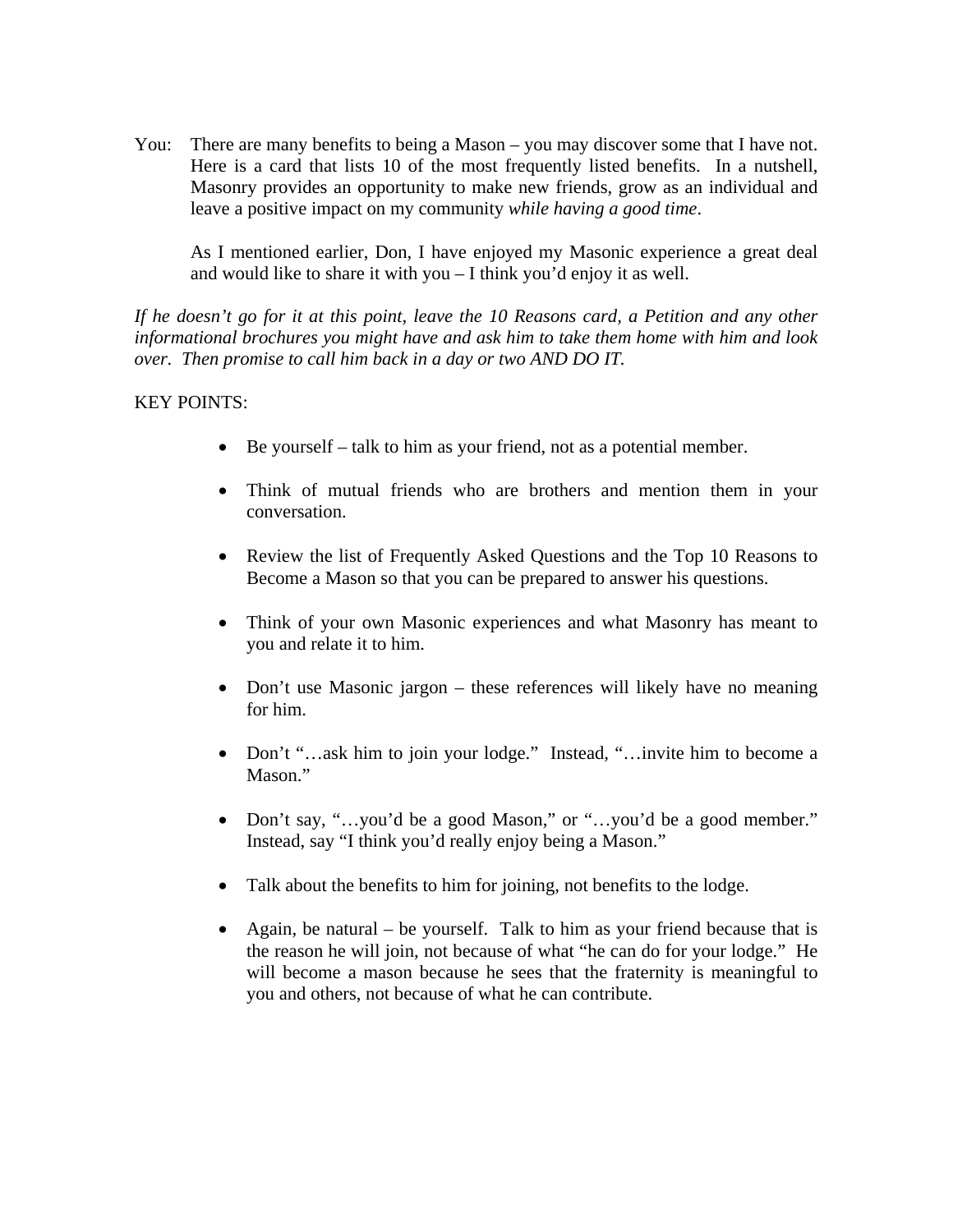You: There are many benefits to being a Mason – you may discover some that I have not. Here is a card that lists 10 of the most frequently listed benefits. In a nutshell, Masonry provides an opportunity to make new friends, grow as an individual and leave a positive impact on my community *while having a good time*.

 As I mentioned earlier, Don, I have enjoyed my Masonic experience a great deal and would like to share it with you – I think you'd enjoy it as well.

*If he doesn't go for it at this point, leave the 10 Reasons card, a Petition and any other informational brochures you might have and ask him to take them home with him and look over. Then promise to call him back in a day or two AND DO IT.* 

#### KEY POINTS:

- Be yourself talk to him as your friend, not as a potential member.
- Think of mutual friends who are brothers and mention them in your conversation.
- Review the list of Frequently Asked Questions and the Top 10 Reasons to Become a Mason so that you can be prepared to answer his questions.
- Think of your own Masonic experiences and what Masonry has meant to you and relate it to him.
- Don't use Masonic jargon these references will likely have no meaning for him.
- Don't "…ask him to join your lodge." Instead, "…invite him to become a Mason."
- Don't say, "...you'd be a good Mason," or "...you'd be a good member." Instead, say "I think you'd really enjoy being a Mason."
- Talk about the benefits to him for joining, not benefits to the lodge.
- Again, be natural be yourself. Talk to him as your friend because that is the reason he will join, not because of what "he can do for your lodge." He will become a mason because he sees that the fraternity is meaningful to you and others, not because of what he can contribute.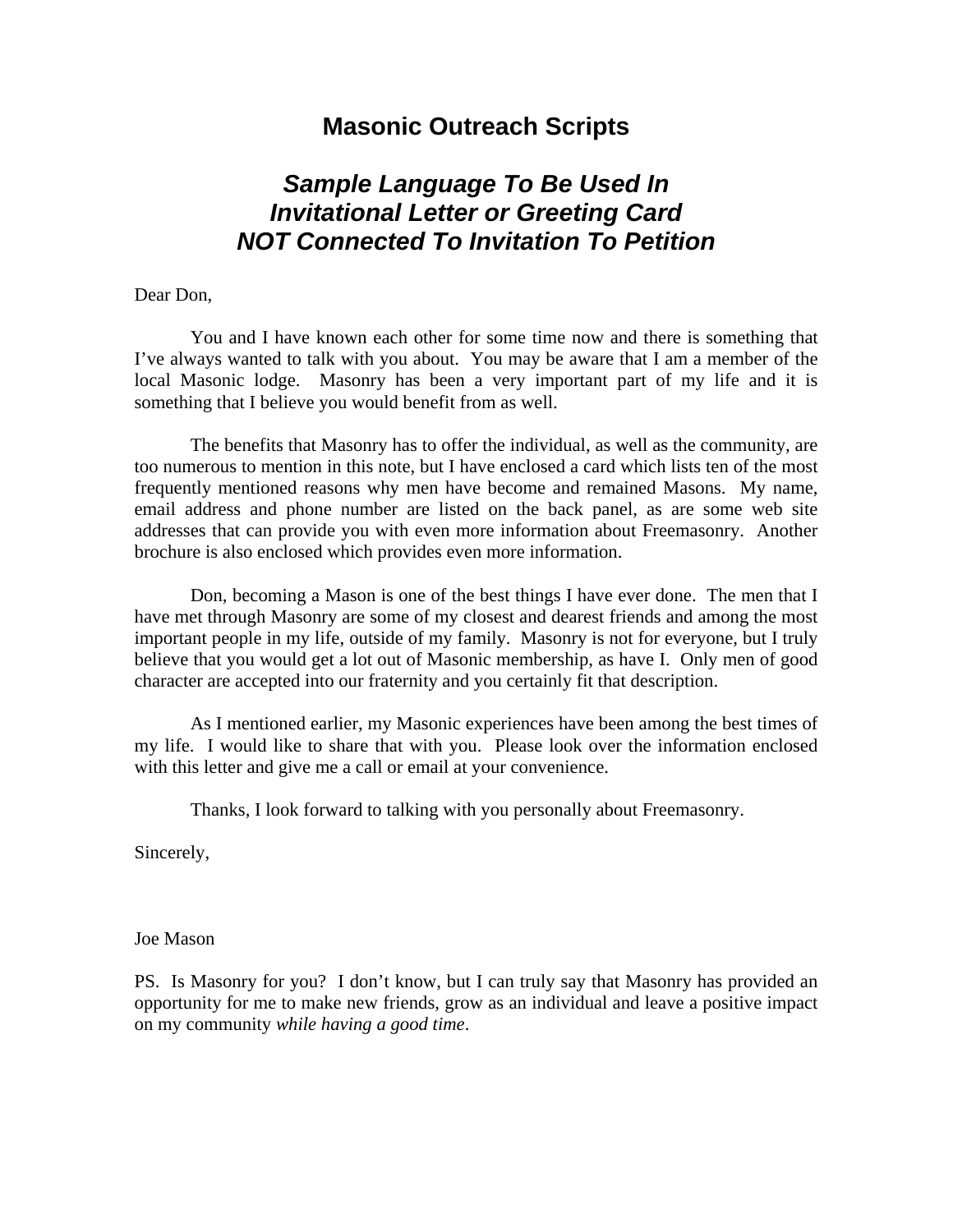## **Masonic Outreach Scripts**

# *Sample Language To Be Used In Invitational Letter or Greeting Card NOT Connected To Invitation To Petition*

#### Dear Don,

 You and I have known each other for some time now and there is something that I've always wanted to talk with you about. You may be aware that I am a member of the local Masonic lodge. Masonry has been a very important part of my life and it is something that I believe you would benefit from as well.

 The benefits that Masonry has to offer the individual, as well as the community, are too numerous to mention in this note, but I have enclosed a card which lists ten of the most frequently mentioned reasons why men have become and remained Masons. My name, email address and phone number are listed on the back panel, as are some web site addresses that can provide you with even more information about Freemasonry. Another brochure is also enclosed which provides even more information.

 Don, becoming a Mason is one of the best things I have ever done. The men that I have met through Masonry are some of my closest and dearest friends and among the most important people in my life, outside of my family. Masonry is not for everyone, but I truly believe that you would get a lot out of Masonic membership, as have I. Only men of good character are accepted into our fraternity and you certainly fit that description.

 As I mentioned earlier, my Masonic experiences have been among the best times of my life. I would like to share that with you. Please look over the information enclosed with this letter and give me a call or email at your convenience.

Thanks, I look forward to talking with you personally about Freemasonry.

Sincerely,

#### Joe Mason

PS. Is Masonry for you? I don't know, but I can truly say that Masonry has provided an opportunity for me to make new friends, grow as an individual and leave a positive impact on my community *while having a good time*.